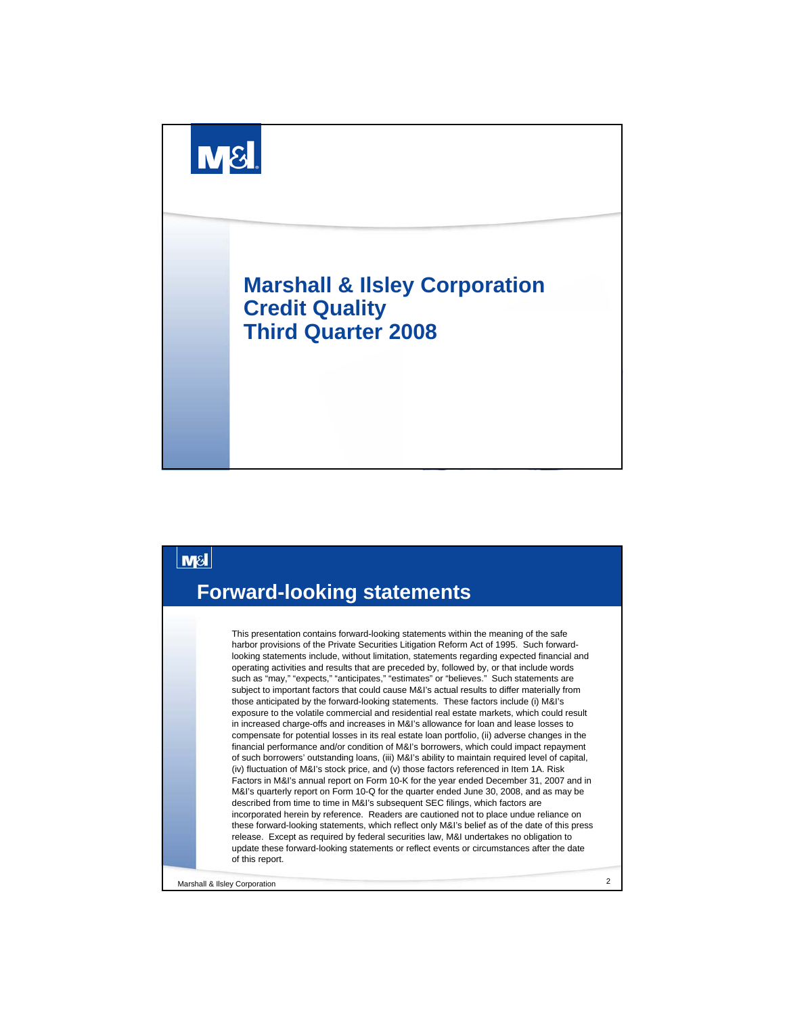



Marshall & Ilsley Corporation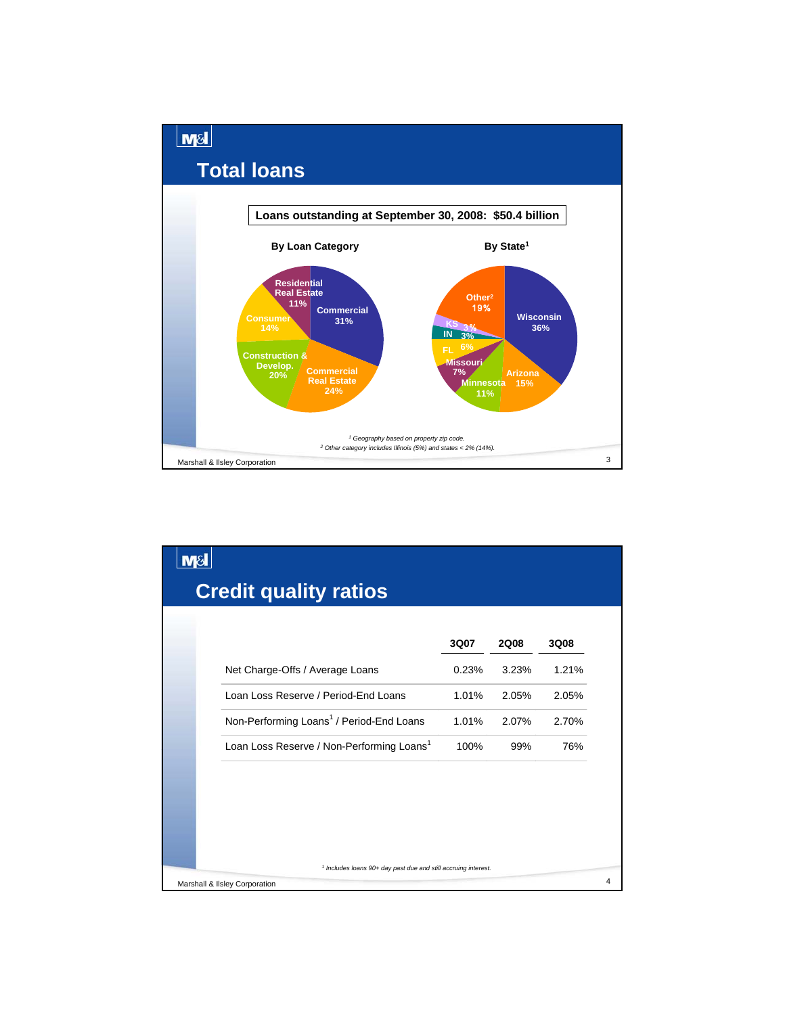

| M& |                                                                           |       |             |       |
|----|---------------------------------------------------------------------------|-------|-------------|-------|
|    | <b>Credit quality ratios</b>                                              |       |             |       |
|    |                                                                           |       |             |       |
|    |                                                                           | 3Q07  | <b>2Q08</b> | 3Q08  |
|    | Net Charge-Offs / Average Loans                                           | 0.23% | 3.23%       | 1.21% |
|    | Loan Loss Reserve / Period-End Loans                                      | 1.01% | 2.05%       | 2.05% |
|    | Non-Performing Loans <sup>1</sup> / Period-End Loans                      | 1.01% | 2.07%       | 2.70% |
|    | Loan Loss Reserve / Non-Performing Loans <sup>1</sup>                     | 100%  | 99%         | 76%   |
|    |                                                                           |       |             |       |
|    |                                                                           |       |             |       |
|    |                                                                           |       |             |       |
|    |                                                                           |       |             |       |
|    | <sup>1</sup> Includes loans 90+ day past due and still accruing interest. |       |             |       |
|    | Marshall & Ilsley Corporation                                             |       |             |       |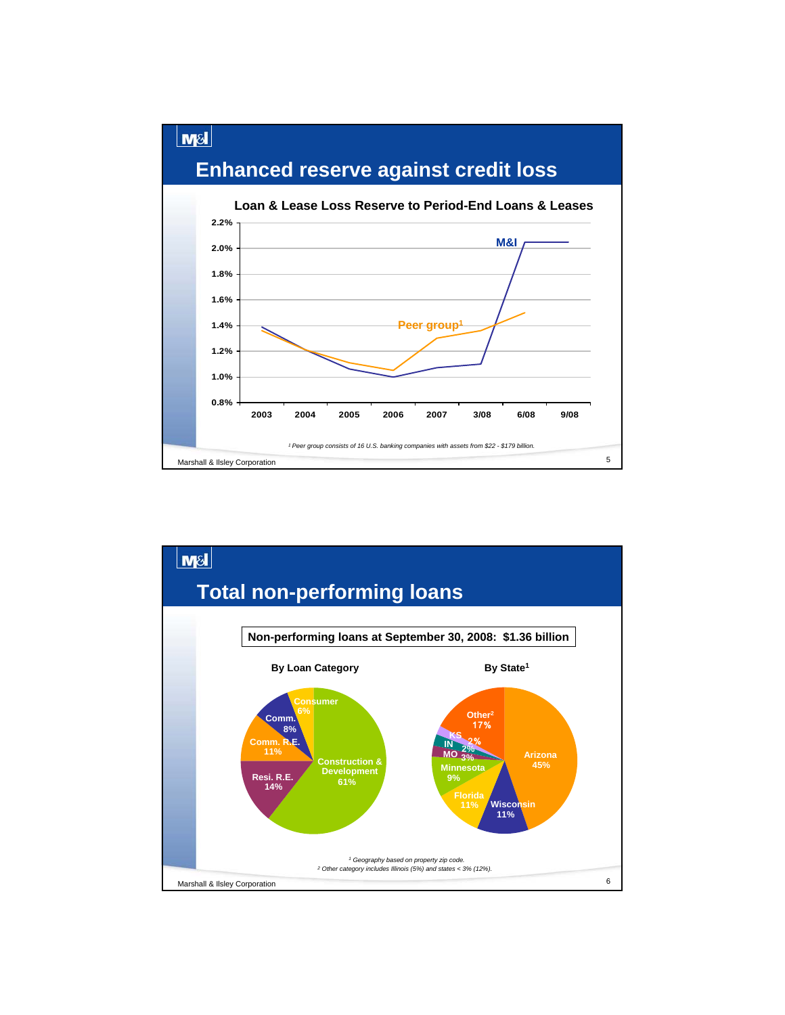

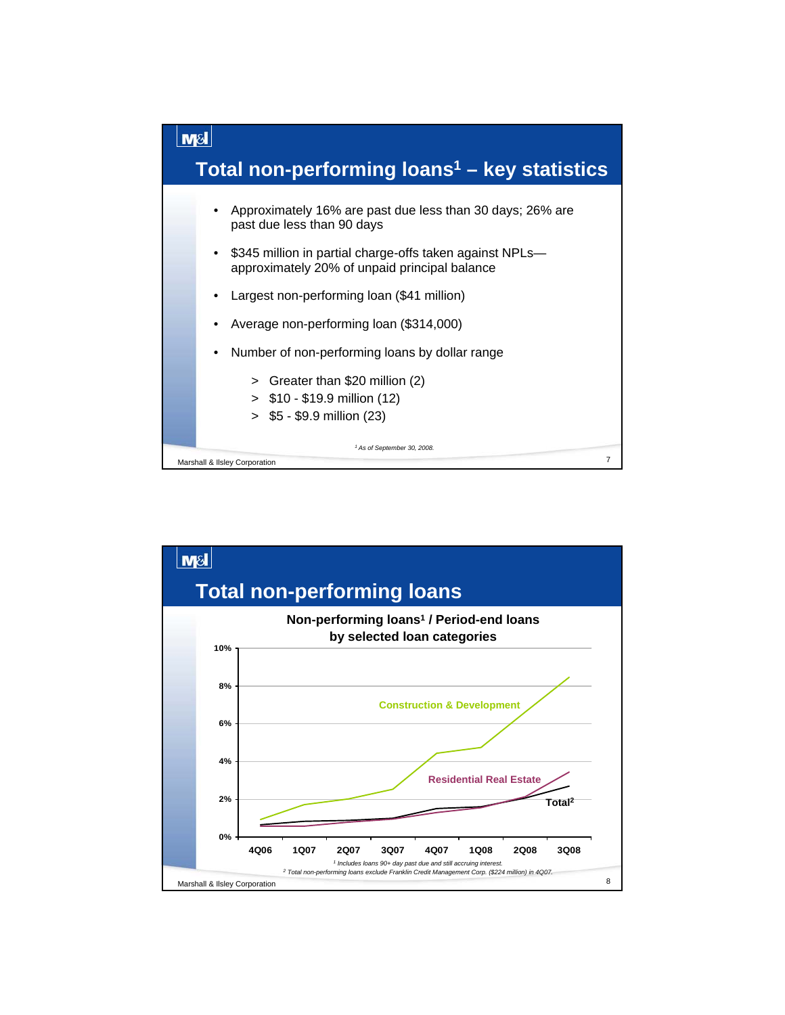

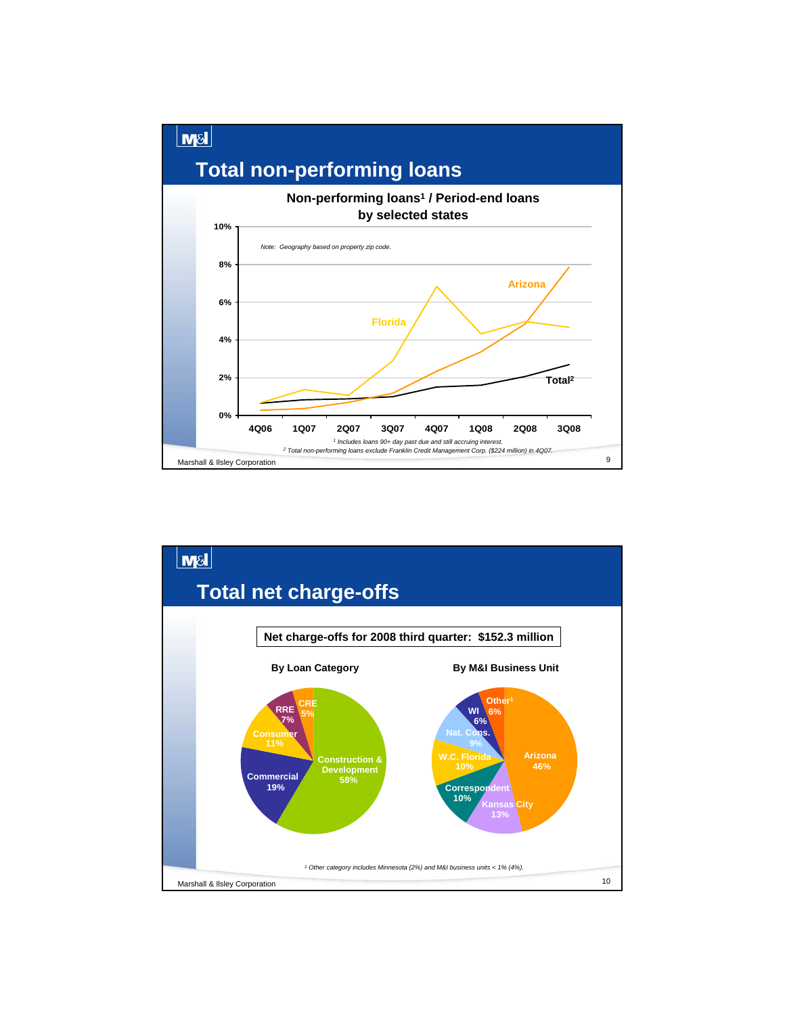

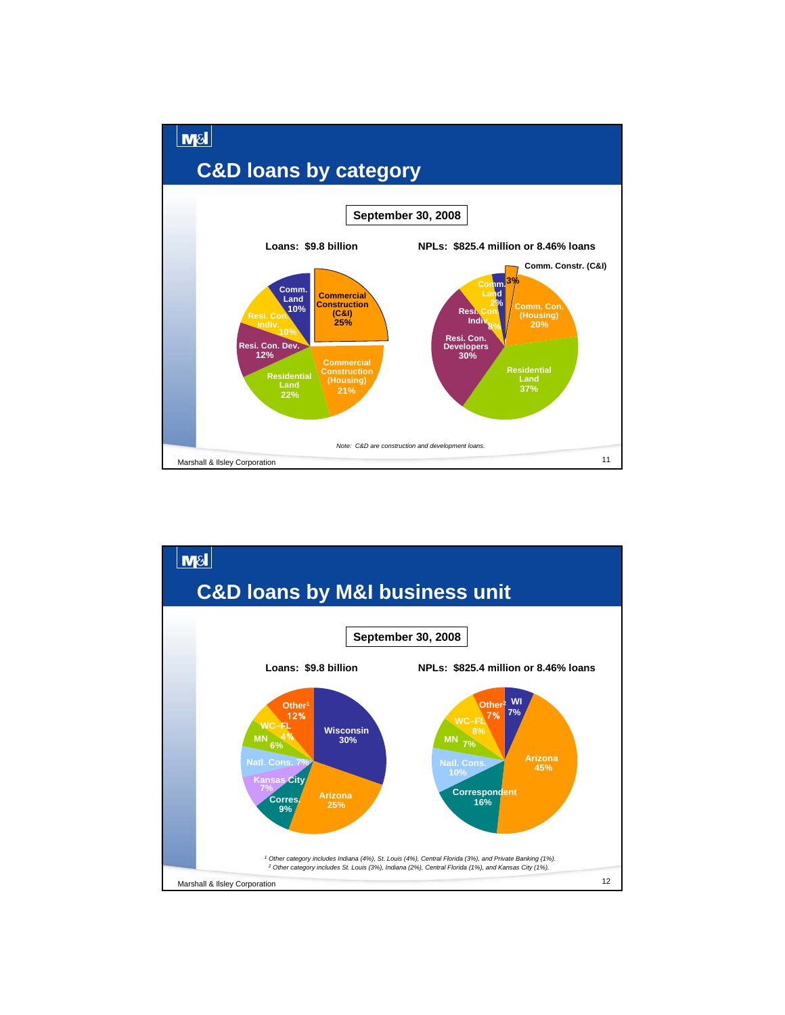

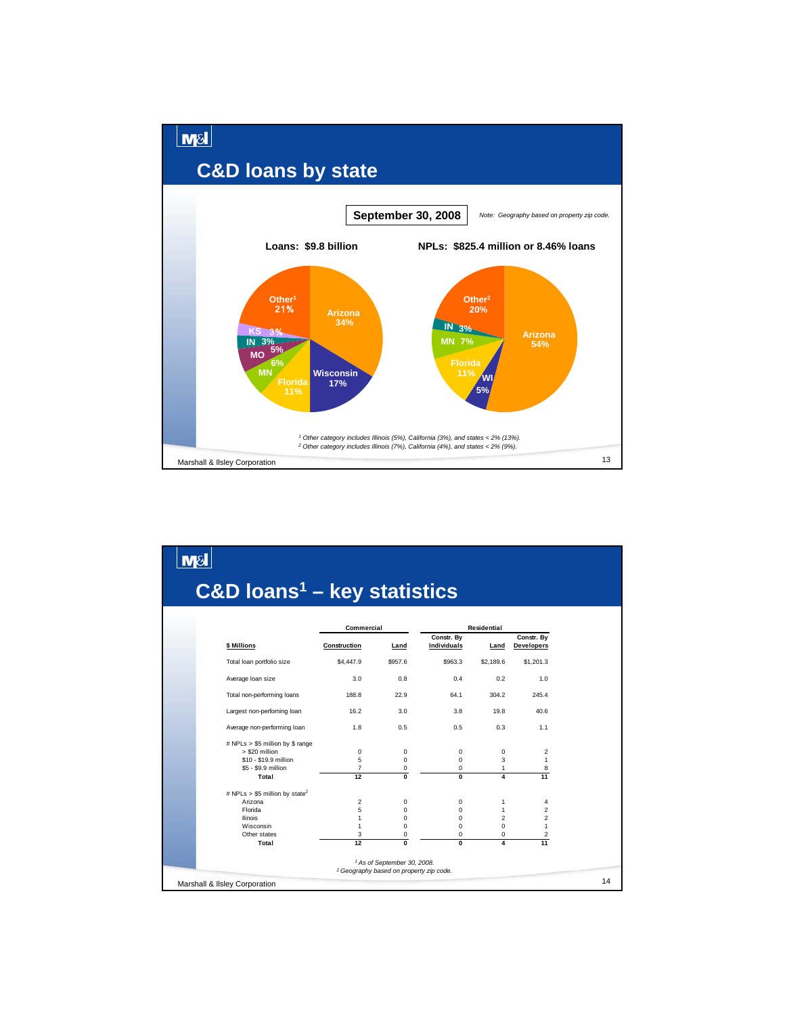

|                                                    | Commercial     |                | Residential                      |                   |                                 |
|----------------------------------------------------|----------------|----------------|----------------------------------|-------------------|---------------------------------|
| \$ Millions                                        | Construction   | Land           | Constr. By<br><b>Individuals</b> | Land              | Constr. Bv<br><b>Developers</b> |
| Total loan portfolio size                          | \$4,447.9      | \$957.6        | \$963.3                          | \$2,189.6         | \$1,201.3                       |
| Average loan size                                  | 3.0            | 0.8            | 0.4                              | 0.2               | 1.0                             |
| Total non-performing loans                         | 188.8          | 22.9           | 64.1                             | 304.2             | 245.4                           |
| Largest non-perforning loan                        | 16.2           | 3.0            | 3.8                              | 19.8              | 40.6                            |
| Average non-performing loan                        | 1.8            | 0.5            | 0.5                              | 0.3               | 1.1                             |
| # NPLs > \$5 million by \$ range<br>> \$20 million |                |                |                                  |                   |                                 |
| \$10 - \$19.9 million                              | 0<br>5         | 0<br>0         | $\mathbf 0$<br>$\mathbf 0$       | 0<br>3            | 2<br>1                          |
| \$5 - \$9.9 million                                | $\overline{7}$ | 0              | $\mathbf 0$                      | $\mathbf{1}$      | 8                               |
| Total                                              | 12             | $\overline{0}$ | $\mathbf{0}$                     | 4                 | 11                              |
| # NPLs > \$5 million by state <sup>2</sup>         |                |                |                                  |                   |                                 |
| Arizona<br>Florida                                 | 2<br>5         | 0<br>0         | $\mathbf 0$<br>$\Omega$          | 1<br>$\mathbf{1}$ | 4<br>$\overline{2}$             |
| <b>Ilinois</b>                                     | $\mathbf{1}$   | 0              | $\Omega$                         | $\overline{2}$    | 2                               |
| Wisconsin                                          | $\mathbf{1}$   | $\Omega$       | $\Omega$                         | $\Omega$          | 1                               |
| Other states                                       | 3              | 0              | $\mathbf 0$                      | 0                 | 2                               |
| Total                                              | 12             | $\overline{0}$ | $\mathbf{0}$                     | 4                 | 11                              |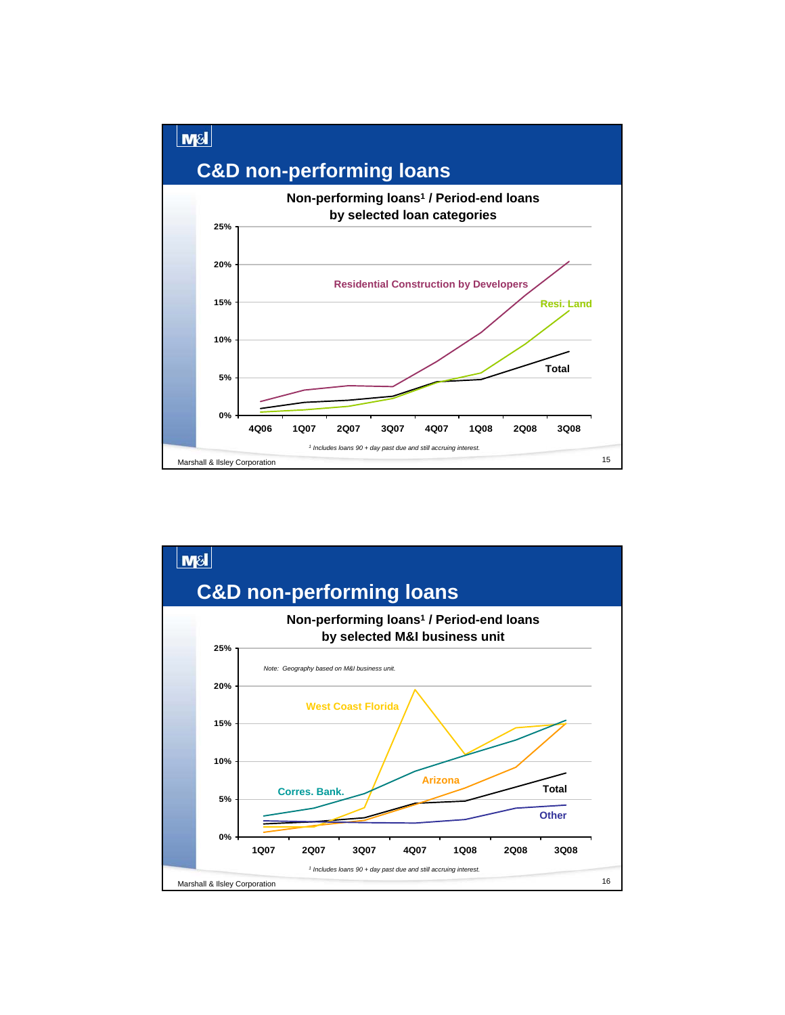

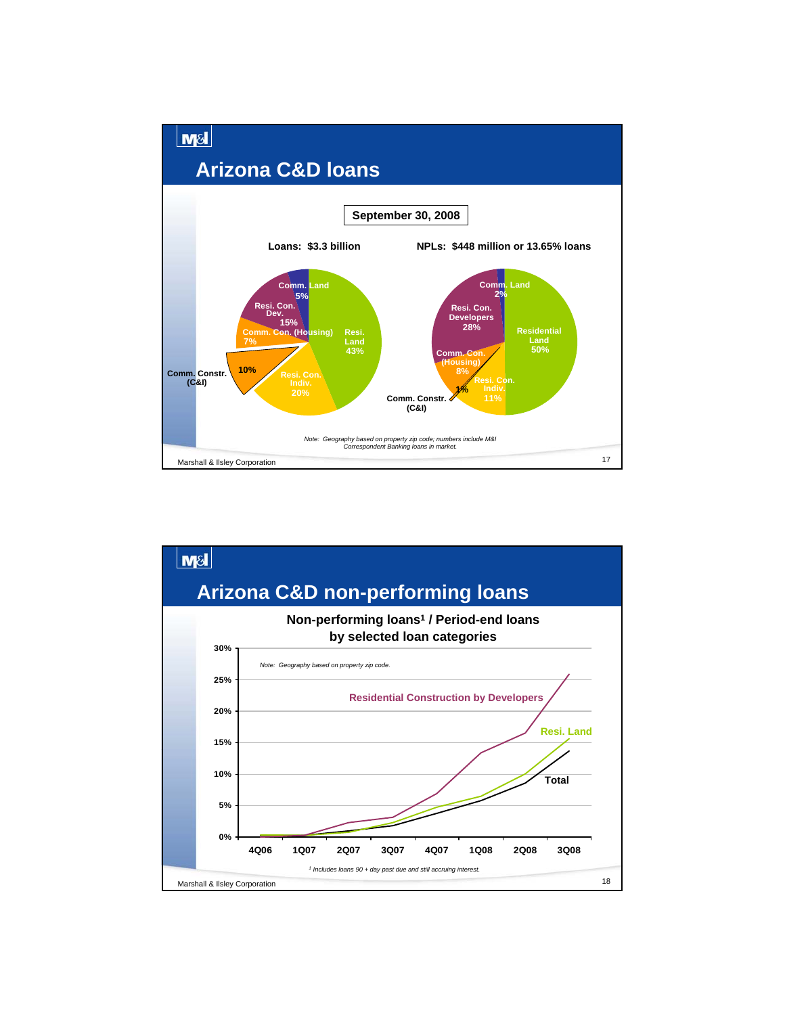

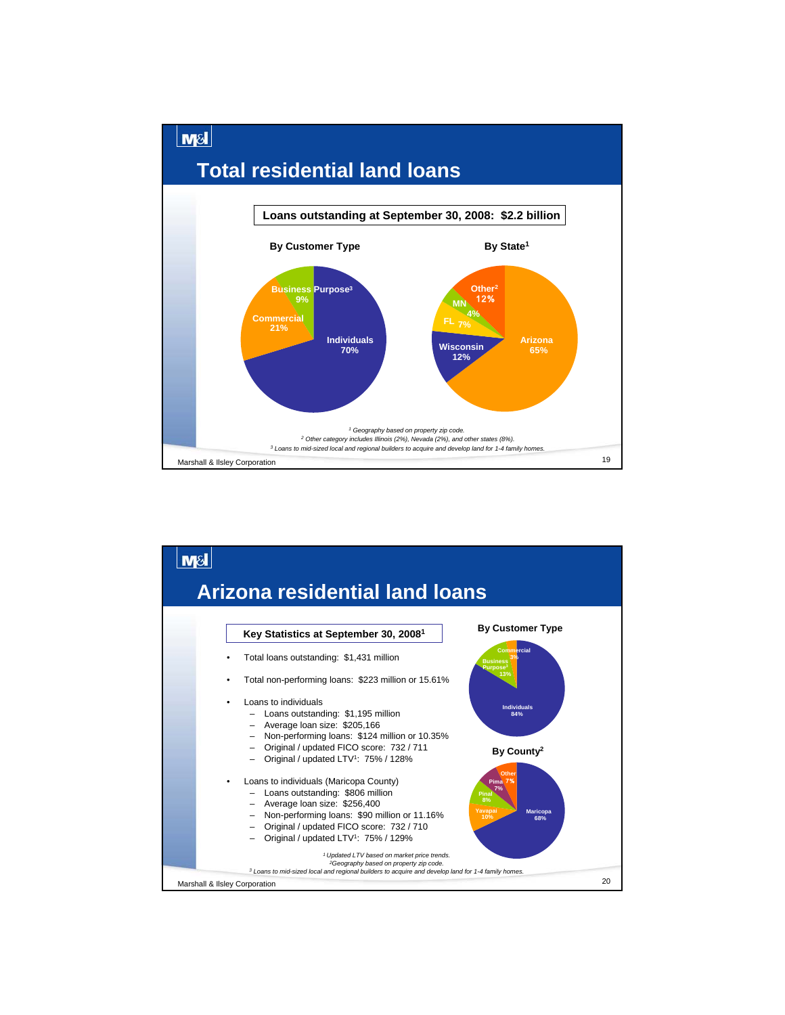

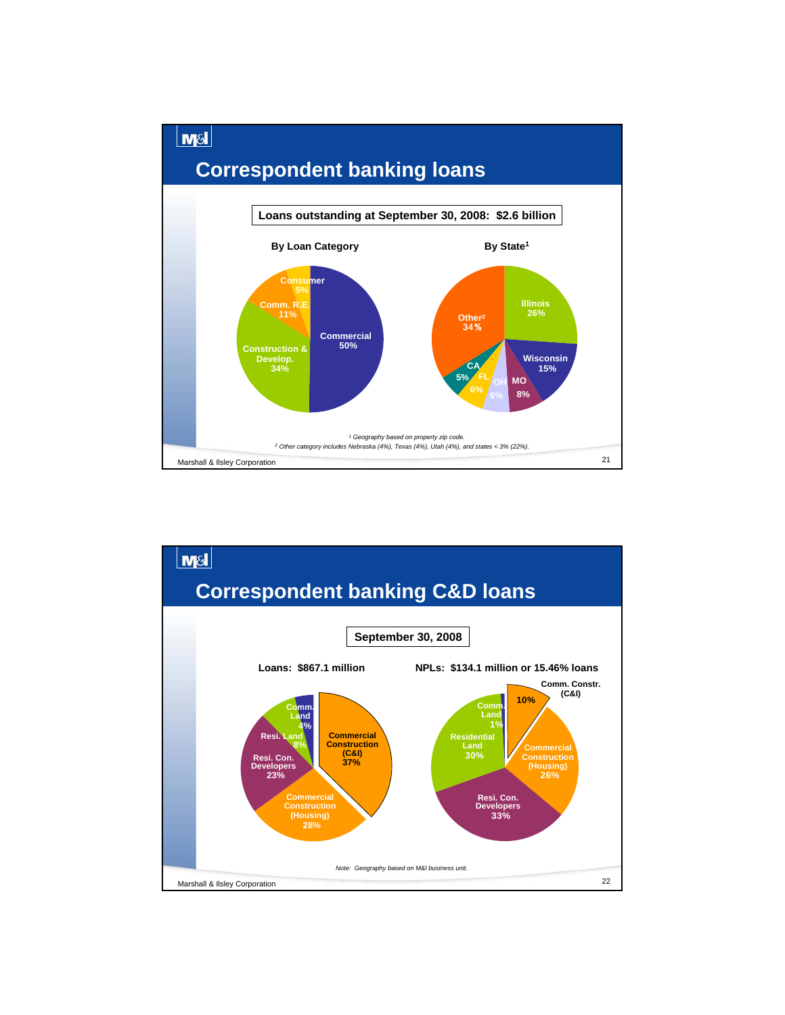

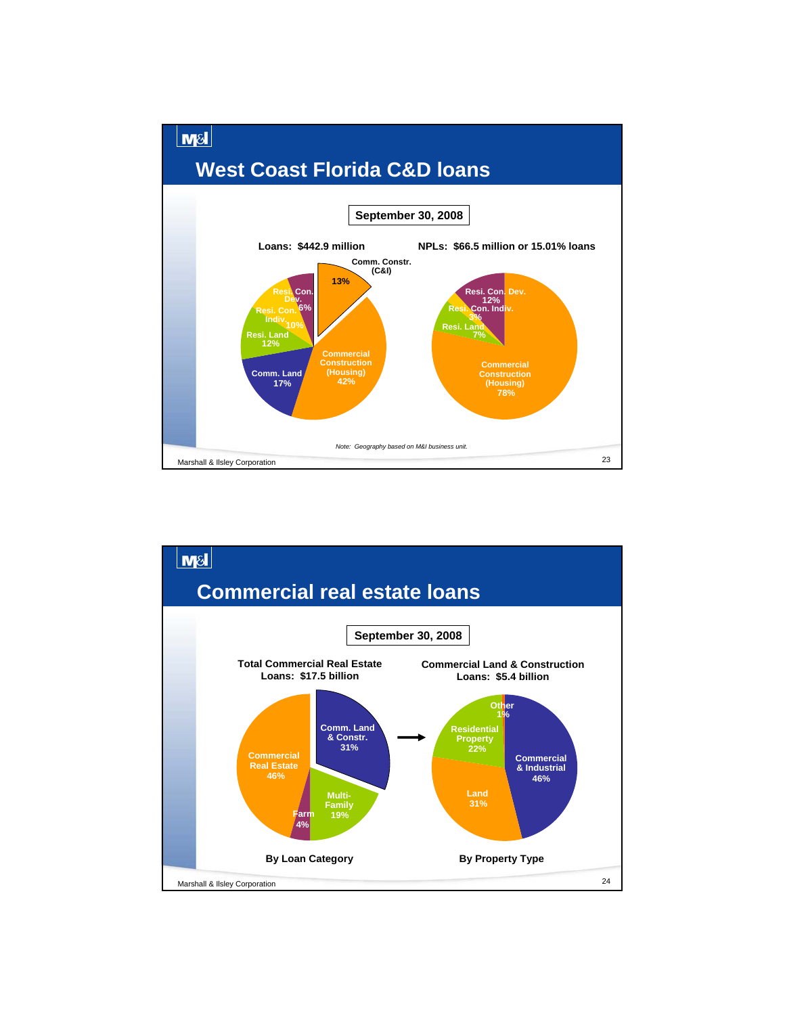

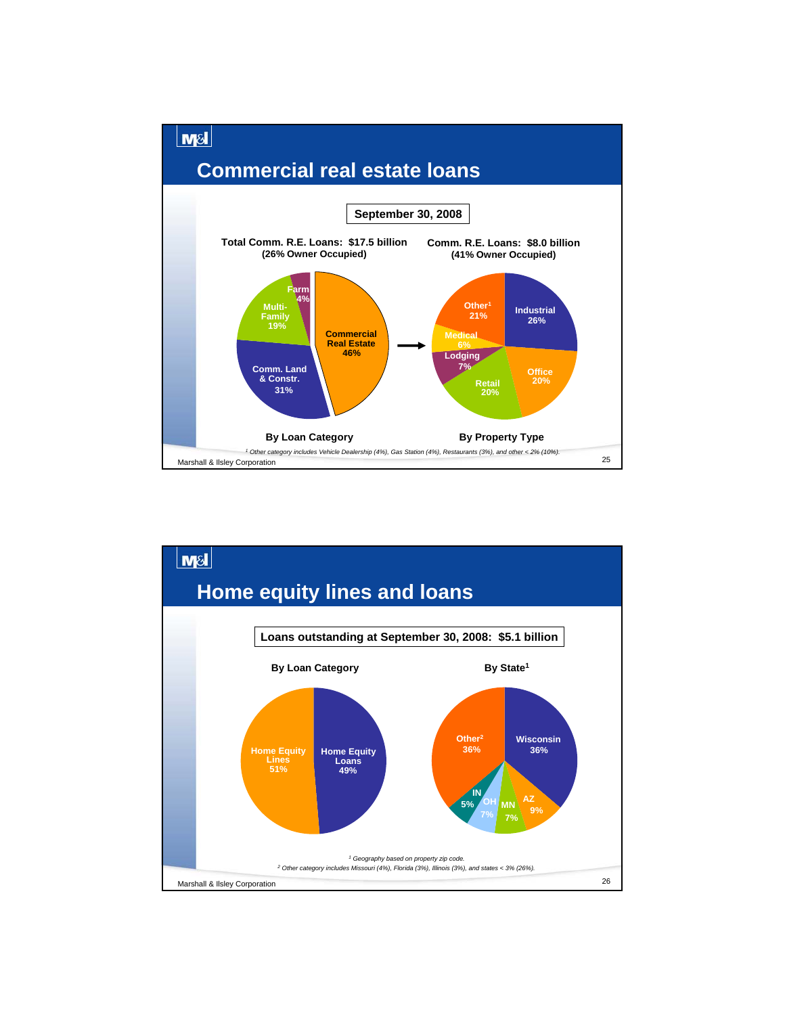